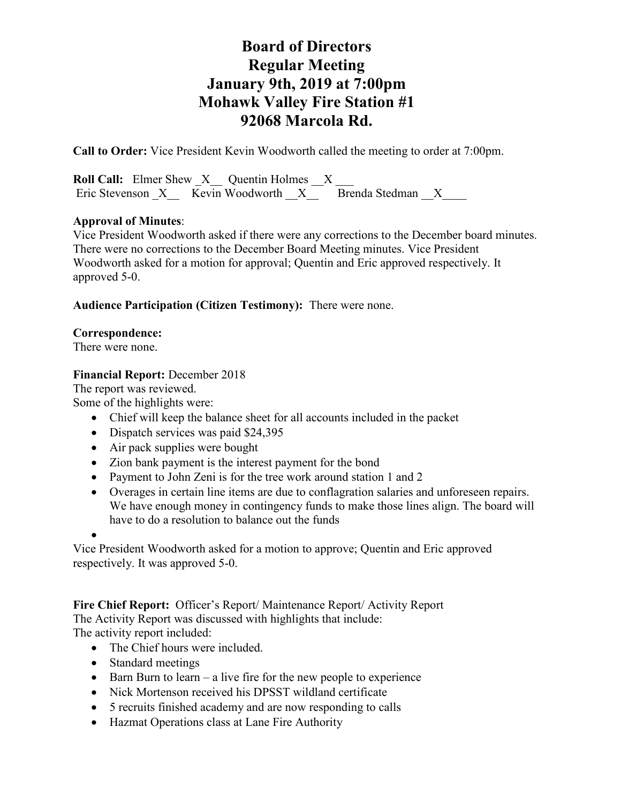**Call to Order:** Vice President Kevin Woodworth called the meeting to order at 7:00pm.

**Roll Call:** Elmer Shew X Quentin Holmes X Eric Stevenson  $X$  Kevin Woodworth  $X$  Brenda Stedman  $X$ 

### **Approval of Minutes**:

Vice President Woodworth asked if there were any corrections to the December board minutes. There were no corrections to the December Board Meeting minutes. Vice President Woodworth asked for a motion for approval; Quentin and Eric approved respectively. It approved 5-0.

## **Audience Participation (Citizen Testimony):** There were none.

### **Correspondence:**

There were none.

## **Financial Report:** December 2018

The report was reviewed. Some of the highlights were:

- Chief will keep the balance sheet for all accounts included in the packet
- Dispatch services was paid \$24,395
- Air pack supplies were bought
- Zion bank payment is the interest payment for the bond
- Payment to John Zeni is for the tree work around station 1 and 2
- Overages in certain line items are due to conflagration salaries and unforeseen repairs. We have enough money in contingency funds to make those lines align. The board will have to do a resolution to balance out the funds
- •

Vice President Woodworth asked for a motion to approve; Quentin and Eric approved respectively. It was approved 5-0.

**Fire Chief Report:** Officer's Report/ Maintenance Report/ Activity Report The Activity Report was discussed with highlights that include: The activity report included:

- The Chief hours were included.
- Standard meetings
- Barn Burn to learn  $-$  a live fire for the new people to experience
- Nick Mortenson received his DPSST wildland certificate
- 5 recruits finished academy and are now responding to calls
- Hazmat Operations class at Lane Fire Authority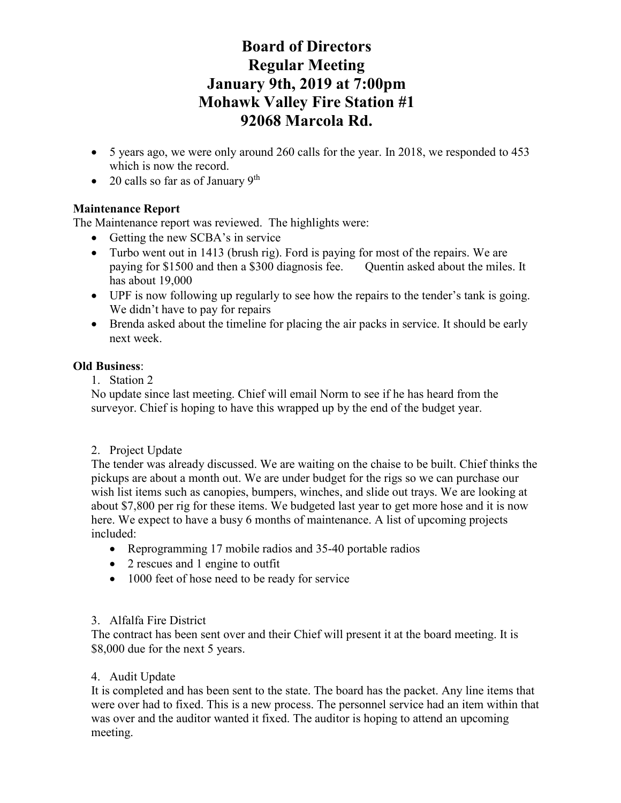- 5 years ago, we were only around 260 calls for the year. In 2018, we responded to 453 which is now the record.
- 20 calls so far as of January  $9<sup>th</sup>$

## **Maintenance Report**

The Maintenance report was reviewed. The highlights were:

- Getting the new SCBA's in service
- Turbo went out in 1413 (brush rig). Ford is paying for most of the repairs. We are paying for \$1500 and then a \$300 diagnosis fee. Quentin asked about the miles. It has about 19,000
- UPF is now following up regularly to see how the repairs to the tender's tank is going. We didn't have to pay for repairs
- Brenda asked about the timeline for placing the air packs in service. It should be early next week.

#### **Old Business**:

1. Station 2

No update since last meeting. Chief will email Norm to see if he has heard from the surveyor. Chief is hoping to have this wrapped up by the end of the budget year.

### 2. Project Update

The tender was already discussed. We are waiting on the chaise to be built. Chief thinks the pickups are about a month out. We are under budget for the rigs so we can purchase our wish list items such as canopies, bumpers, winches, and slide out trays. We are looking at about \$7,800 per rig for these items. We budgeted last year to get more hose and it is now here. We expect to have a busy 6 months of maintenance. A list of upcoming projects included:

- Reprogramming 17 mobile radios and 35-40 portable radios
- 2 rescues and 1 engine to outfit
- 1000 feet of hose need to be ready for service

### 3. Alfalfa Fire District

The contract has been sent over and their Chief will present it at the board meeting. It is \$8,000 due for the next 5 years.

#### 4. Audit Update

It is completed and has been sent to the state. The board has the packet. Any line items that were over had to fixed. This is a new process. The personnel service had an item within that was over and the auditor wanted it fixed. The auditor is hoping to attend an upcoming meeting.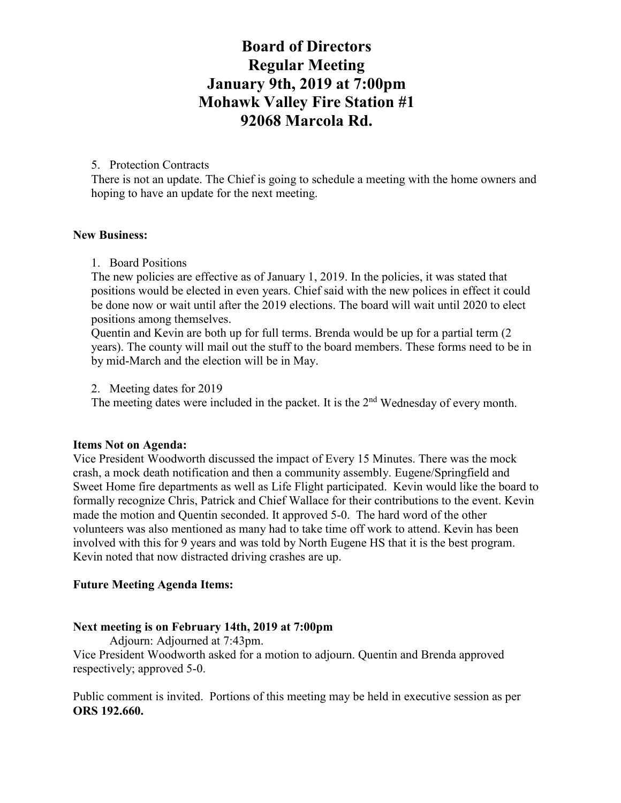#### 5. Protection Contracts

There is not an update. The Chief is going to schedule a meeting with the home owners and hoping to have an update for the next meeting.

#### **New Business:**

1. Board Positions

The new policies are effective as of January 1, 2019. In the policies, it was stated that positions would be elected in even years. Chief said with the new polices in effect it could be done now or wait until after the 2019 elections. The board will wait until 2020 to elect positions among themselves.

Quentin and Kevin are both up for full terms. Brenda would be up for a partial term (2 years). The county will mail out the stuff to the board members. These forms need to be in by mid-March and the election will be in May.

2. Meeting dates for 2019

The meeting dates were included in the packet. It is the 2<sup>nd</sup> Wednesday of every month.

### **Items Not on Agenda:**

Vice President Woodworth discussed the impact of Every 15 Minutes. There was the mock crash, a mock death notification and then a community assembly. Eugene/Springfield and Sweet Home fire departments as well as Life Flight participated. Kevin would like the board to formally recognize Chris, Patrick and Chief Wallace for their contributions to the event. Kevin made the motion and Quentin seconded. It approved 5-0. The hard word of the other volunteers was also mentioned as many had to take time off work to attend. Kevin has been involved with this for 9 years and was told by North Eugene HS that it is the best program. Kevin noted that now distracted driving crashes are up.

### **Future Meeting Agenda Items:**

### **Next meeting is on February 14th, 2019 at 7:00pm**

Adjourn: Adjourned at 7:43pm.

Vice President Woodworth asked for a motion to adjourn. Quentin and Brenda approved respectively; approved 5-0.

Public comment is invited. Portions of this meeting may be held in executive session as per **ORS 192.660.**